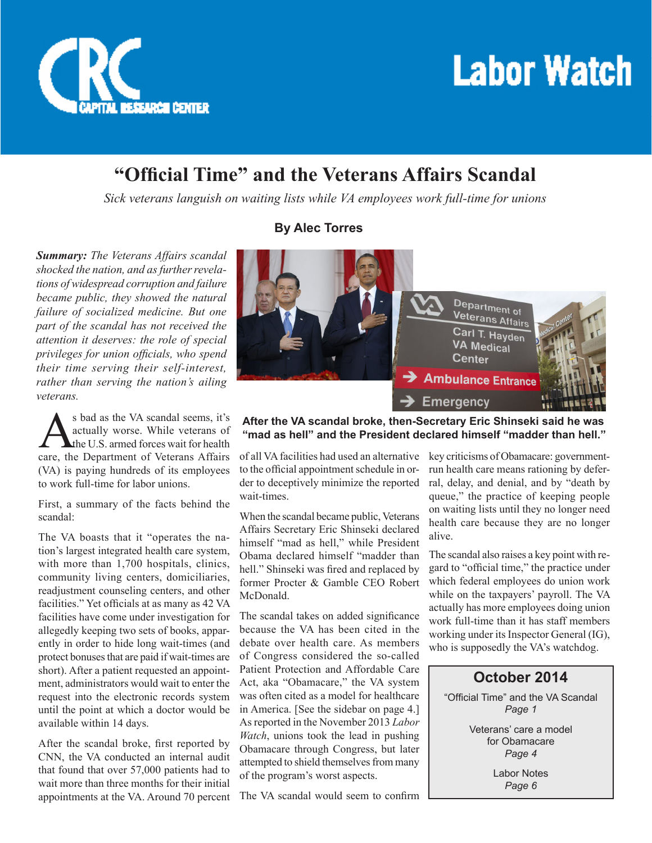

## **Labor Watch**

### **"Official Time" and the Veterans Affairs Scandal**

*Sick veterans languish on waiting lists while VA employees work full-time for unions*

*Summary: The Veterans Affairs scandal shocked the nation, and as further revelations of widespread corruption and failure became public, they showed the natural failure of socialized medicine. But one part of the scandal has not received the attention it deserves: the role of special privileges for union officials, who spend their time serving their self-interest, rather than serving the nation's ailing veterans.* 

S bad as the VA scandal seems, it's<br>actually worse. While veterans of<br>the U.S. armed forces wait for health<br>care, the Department of Veterans Affairs actually worse. While veterans of the U.S. armed forces wait for health care, the Department of Veterans Affairs (VA) is paying hundreds of its employees to work full-time for labor unions.

First, a summary of the facts behind the scandal:

The VA boasts that it "operates the nation's largest integrated health care system, with more than 1,700 hospitals, clinics, community living centers, domiciliaries, readjustment counseling centers, and other facilities." Yet officials at as many as 42 VA facilities have come under investigation for allegedly keeping two sets of books, apparently in order to hide long wait-times (and protect bonuses that are paid if wait-times are short). After a patient requested an appointment, administrators would wait to enter the request into the electronic records system until the point at which a doctor would be available within 14 days.

After the scandal broke, first reported by CNN, the VA conducted an internal audit that found that over 57,000 patients had to wait more than three months for their initial appointments at the VA. Around 70 percent

#### **By Alec Torres**



#### **After the VA scandal broke, then-Secretary Eric Shinseki said he was "mad as hell" and the President declared himself "madder than hell."**

of all VA facilities had used an alternative to the official appointment schedule in order to deceptively minimize the reported wait-times.

When the scandal became public, Veterans Affairs Secretary Eric Shinseki declared himself "mad as hell," while President Obama declared himself "madder than hell." Shinseki was fired and replaced by former Procter & Gamble CEO Robert McDonald.

The scandal takes on added significance because the VA has been cited in the debate over health care. As members of Congress considered the so-called Patient Protection and Affordable Care Act, aka "Obamacare," the VA system was often cited as a model for healthcare in America. [See the sidebar on page 4.] As reported in the November 2013 *Labor Watch*, unions took the lead in pushing Obamacare through Congress, but later attempted to shield themselves from many of the program's worst aspects.

The VA scandal would seem to confirm

key criticisms of Obamacare: governmentrun health care means rationing by deferral, delay, and denial, and by "death by queue," the practice of keeping people on waiting lists until they no longer need health care because they are no longer alive.

The scandal also raises a key point with regard to "official time," the practice under which federal employees do union work while on the taxpayers' payroll. The VA actually has more employees doing union work full-time than it has staff members working under its Inspector General (IG), who is supposedly the VA's watchdog.

#### **October 2014** "Official Time" and the VA Scandal *Page 1*

Veterans' care a model for Obamacare *Page 4*

> Labor Notes *Page 6*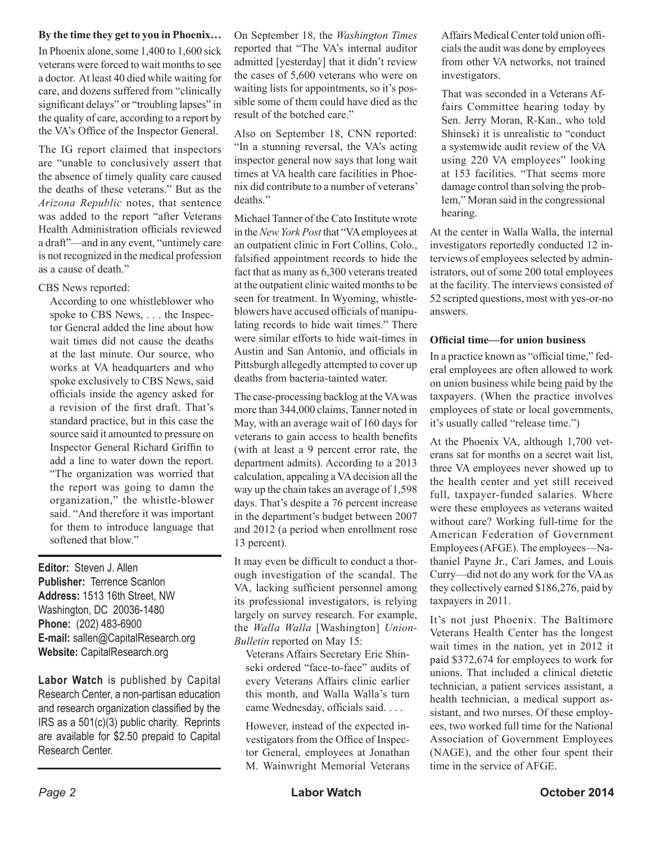#### **By the time they get to you in Phoenix…**

In Phoenix alone, some 1,400 to 1,600 sick veterans were forced to wait months to see a doctor. At least 40 died while waiting for care, and dozens suffered from "clinically significant delays" or "troubling lapses" in the quality of care, according to a report by the VA's Office of the Inspector General.

The IG report claimed that inspectors are "unable to conclusively assert that the absence of timely quality care caused the deaths of these veterans." But as the *Arizona Republic* notes, that sentence was added to the report "after Veterans Health Administration officials reviewed a draft"—and in any event, "untimely care is not recognized in the medical profession as a cause of death."

#### CBS News reported:

According to one whistleblower who spoke to CBS News, . . . the Inspector General added the line about how wait times did not cause the deaths at the last minute. Our source, who works at VA headquarters and who spoke exclusively to CBS News, said officials inside the agency asked for a revision of the first draft. That's standard practice, but in this case the source said it amounted to pressure on Inspector General Richard Griffin to add a line to water down the report. "The organization was worried that the report was going to damn the organization," the whistle-blower said. "And therefore it was important for them to introduce language that softened that blow."

**Editor:** Steven J. Allen **Publisher:** Terrence Scanlon **Address:** 1513 16th Street, NW Washington, DC 20036-1480 **Phone:** (202) 483-6900 **E-mail:** sallen@CapitalResearch.org **Website:** CapitalResearch.org

**Labor Watch** is published by Capital Research Center, a non-partisan education and research organization classified by the IRS as a 501(c)(3) public charity. Reprints are available for \$2.50 prepaid to Capital Research Center.

On September 18, the *Washington Times* reported that "The VA's internal auditor admitted [yesterday] that it didn't review the cases of 5,600 veterans who were on waiting lists for appointments, so it's possible some of them could have died as the result of the botched care."

Also on September 18, CNN reported: "In a stunning reversal, the VA's acting inspector general now says that long wait times at VA health care facilities in Phoenix did contribute to a number of veterans' deaths."

Michael Tanner of the Cato Institute wrote in the *New York Post* that "VA employees at an outpatient clinic in Fort Collins, Colo., falsified appointment records to hide the fact that as many as 6,300 veterans treated at the outpatient clinic waited months to be seen for treatment. In Wyoming, whistleblowers have accused officials of manipulating records to hide wait times." There were similar efforts to hide wait-times in Austin and San Antonio, and officials in Pittsburgh allegedly attempted to cover up deaths from bacteria-tainted water.

The case-processing backlog at the VA was more than 344,000 claims, Tanner noted in May, with an average wait of 160 days for veterans to gain access to health benefits (with at least a 9 percent error rate, the department admits). According to a 2013 calculation, appealing a VA decision all the way up the chain takes an average of 1,598 days. That's despite a 76 percent increase in the department's budget between 2007 and 2012 (a period when enrollment rose 13 percent).

It may even be difficult to conduct a thorough investigation of the scandal. The VA, lacking sufficient personnel among its professional investigators, is relying largely on survey research. For example, the *Walla Walla* [Washington] *Union-Bulletin* reported on May 15:

Veterans Affairs Secretary Eric Shinseki ordered "face-to-face" audits of every Veterans Affairs clinic earlier this month, and Walla Walla's turn came Wednesday, officials said. . . .

However, instead of the expected investigators from the Office of Inspector General, employees at Jonathan M. Wainwright Memorial Veterans Affairs Medical Center told union officials the audit was done by employees from other VA networks, not trained investigators.

That was seconded in a Veterans Affairs Committee hearing today by Sen. Jerry Moran, R-Kan., who told Shinseki it is unrealistic to "conduct a systemwide audit review of the VA using 220 VA employees" looking at 153 facilities. "That seems more damage control than solving the problem," Moran said in the congressional hearing.

At the center in Walla Walla, the internal investigators reportedly conducted 12 interviews of employees selected by administrators, out of some 200 total employees at the facility. The interviews consisted of 52 scripted questions, most with yes-or-no answers.

#### **Official time—for union business**

In a practice known as "official time," federal employees are often allowed to work on union business while being paid by the taxpayers. (When the practice involves employees of state or local governments, it's usually called "release time.")

At the Phoenix VA, although 1,700 veterans sat for months on a secret wait list, three VA employees never showed up to the health center and yet still received full, taxpayer-funded salaries. Where were these employees as veterans waited without care? Working full-time for the American Federation of Government Employees (AFGE). The employees—Nathaniel Payne Jr., Cari James, and Louis Curry—did not do any work for the VA as they collectively earned \$186,276, paid by taxpayers in 2011.

It's not just Phoenix. The Baltimore Veterans Health Center has the longest wait times in the nation, yet in 2012 it paid \$372,674 for employees to work for unions. That included a clinical dietetic technician, a patient services assistant, a health technician, a medical support assistant, and two nurses. Of these employees, two worked full time for the National Association of Government Employees (NAGE), and the other four spent their time in the service of AFGE.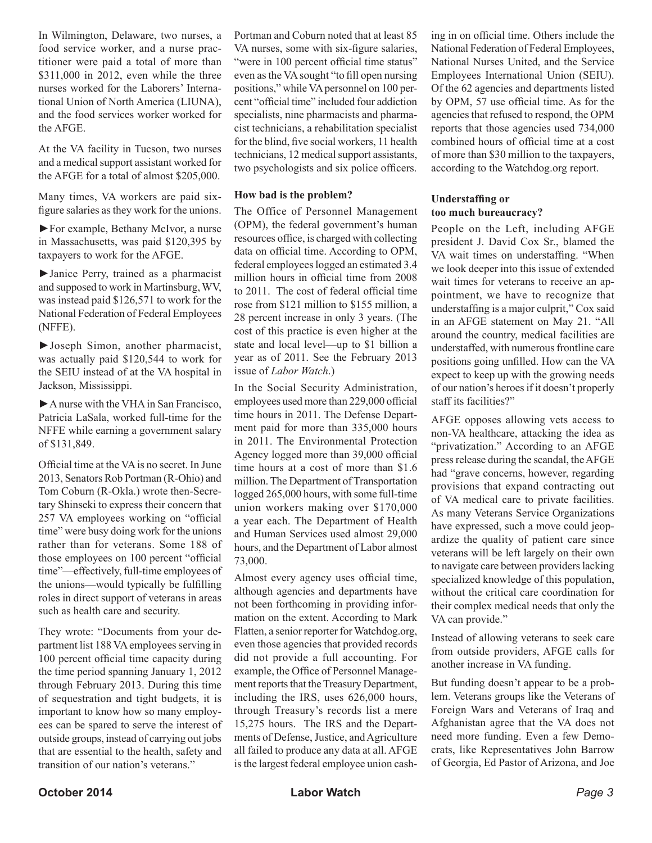In Wilmington, Delaware, two nurses, a food service worker, and a nurse practitioner were paid a total of more than \$311,000 in 2012, even while the three nurses worked for the Laborers' International Union of North America (LIUNA), and the food services worker worked for the AFGE.

At the VA facility in Tucson, two nurses and a medical support assistant worked for the AFGE for a total of almost \$205,000.

Many times, VA workers are paid sixfigure salaries as they work for the unions.

►For example, Bethany McIvor, a nurse in Massachusetts, was paid \$120,395 by taxpayers to work for the AFGE.

►Janice Perry, trained as a pharmacist and supposed to work in Martinsburg, WV, was instead paid \$126,571 to work for the National Federation of Federal Employees (NFFE).

►Joseph Simon, another pharmacist, was actually paid \$120,544 to work for the SEIU instead of at the VA hospital in Jackson, Mississippi.

►A nurse with the VHA in San Francisco, Patricia LaSala, worked full-time for the NFFE while earning a government salary of \$131,849.

Official time at the VA is no secret. In June 2013, Senators Rob Portman (R-Ohio) and Tom Coburn (R-Okla.) wrote then-Secretary Shinseki to express their concern that 257 VA employees working on "official time" were busy doing work for the unions rather than for veterans. Some 188 of those employees on 100 percent "official time"—effectively, full-time employees of the unions—would typically be fulfilling roles in direct support of veterans in areas such as health care and security.

They wrote: "Documents from your department list 188 VA employees serving in 100 percent official time capacity during the time period spanning January 1, 2012 through February 2013. During this time of sequestration and tight budgets, it is important to know how so many employees can be spared to serve the interest of outside groups, instead of carrying out jobs that are essential to the health, safety and transition of our nation's veterans."

Portman and Coburn noted that at least 85 VA nurses, some with six-figure salaries, "were in 100 percent official time status" even as the VA sought "to fill open nursing positions," while VA personnel on 100 percent "official time" included four addiction specialists, nine pharmacists and pharmacist technicians, a rehabilitation specialist for the blind, five social workers, 11 health technicians, 12 medical support assistants, two psychologists and six police officers.

#### **How bad is the problem?**

The Office of Personnel Management (OPM), the federal government's human resources office, is charged with collecting data on official time. According to OPM, federal employees logged an estimated 3.4 million hours in official time from 2008 to 2011. The cost of federal official time rose from \$121 million to \$155 million, a 28 percent increase in only 3 years. (The cost of this practice is even higher at the state and local level—up to \$1 billion a year as of 2011. See the February 2013 issue of *Labor Watch*.)

In the Social Security Administration, employees used more than 229,000 official time hours in 2011. The Defense Department paid for more than 335,000 hours in 2011. The Environmental Protection Agency logged more than 39,000 official time hours at a cost of more than \$1.6 million. The Department of Transportation logged 265,000 hours, with some full-time union workers making over \$170,000 a year each. The Department of Health and Human Services used almost 29,000 hours, and the Department of Labor almost 73,000.

Almost every agency uses official time, although agencies and departments have not been forthcoming in providing information on the extent. According to Mark Flatten, a senior reporter for Watchdog.org, even those agencies that provided records did not provide a full accounting. For example, the Office of Personnel Management reports that the Treasury Department, including the IRS, uses 626,000 hours, through Treasury's records list a mere 15,275 hours. The IRS and the Departments of Defense, Justice, and Agriculture all failed to produce any data at all. AFGE is the largest federal employee union cash-

ing in on official time. Others include the National Federation of Federal Employees, National Nurses United, and the Service Employees International Union (SEIU). Of the 62 agencies and departments listed by OPM, 57 use official time. As for the agencies that refused to respond, the OPM reports that those agencies used 734,000 combined hours of official time at a cost of more than \$30 million to the taxpayers, according to the Watchdog.org report.

#### **Understaffing or too much bureaucracy?**

People on the Left, including AFGE president J. David Cox Sr., blamed the VA wait times on understaffing. "When we look deeper into this issue of extended wait times for veterans to receive an appointment, we have to recognize that understaffing is a major culprit," Cox said in an AFGE statement on May 21. "All around the country, medical facilities are understaffed, with numerous frontline care positions going unfilled. How can the VA expect to keep up with the growing needs of our nation's heroes if it doesn't properly staff its facilities?"

AFGE opposes allowing vets access to non-VA healthcare, attacking the idea as "privatization." According to an AFGE press release during the scandal, the AFGE had "grave concerns, however, regarding provisions that expand contracting out of VA medical care to private facilities. As many Veterans Service Organizations have expressed, such a move could jeopardize the quality of patient care since veterans will be left largely on their own to navigate care between providers lacking specialized knowledge of this population, without the critical care coordination for their complex medical needs that only the VA can provide."

Instead of allowing veterans to seek care from outside providers, AFGE calls for another increase in VA funding.

But funding doesn't appear to be a problem. Veterans groups like the Veterans of Foreign Wars and Veterans of Iraq and Afghanistan agree that the VA does not need more funding. Even a few Democrats, like Representatives John Barrow of Georgia, Ed Pastor of Arizona, and Joe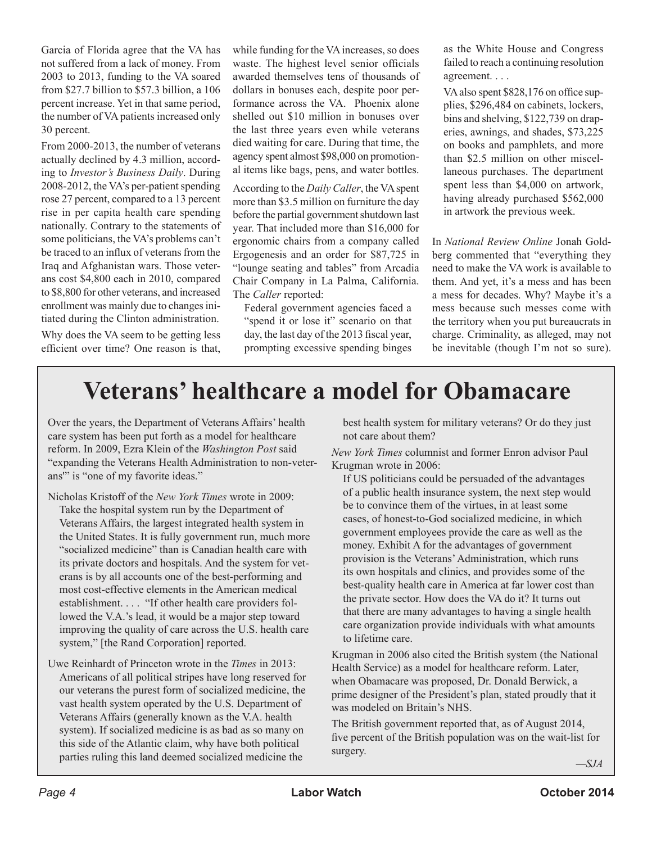Garcia of Florida agree that the VA has not suffered from a lack of money. From 2003 to 2013, funding to the VA soared from \$27.7 billion to \$57.3 billion, a 106 percent increase. Yet in that same period, the number of VA patients increased only 30 percent.

From 2000-2013, the number of veterans actually declined by 4.3 million, according to *Investor's Business Daily*. During 2008-2012, the VA's per-patient spending rose 27 percent, compared to a 13 percent rise in per capita health care spending nationally. Contrary to the statements of some politicians, the VA's problems can't be traced to an influx of veterans from the Iraq and Afghanistan wars. Those veterans cost \$4,800 each in 2010, compared to \$8,800 for other veterans, and increased enrollment was mainly due to changes initiated during the Clinton administration. Why does the VA seem to be getting less efficient over time? One reason is that,

while funding for the VA increases, so does waste. The highest level senior officials awarded themselves tens of thousands of dollars in bonuses each, despite poor performance across the VA. Phoenix alone shelled out \$10 million in bonuses over the last three years even while veterans died waiting for care. During that time, the agency spent almost \$98,000 on promotional items like bags, pens, and water bottles.

According to the *Daily Caller*, the VA spent more than \$3.5 million on furniture the day before the partial government shutdown last year. That included more than \$16,000 for ergonomic chairs from a company called Ergogenesis and an order for \$87,725 in "lounge seating and tables" from Arcadia Chair Company in La Palma, California. The *Caller* reported:

Federal government agencies faced a "spend it or lose it" scenario on that day, the last day of the 2013 fiscal year, prompting excessive spending binges

as the White House and Congress failed to reach a continuing resolution agreement. . . .

VA also spent \$828,176 on office supplies, \$296,484 on cabinets, lockers, bins and shelving, \$122,739 on draperies, awnings, and shades, \$73,225 on books and pamphlets, and more than \$2.5 million on other miscellaneous purchases. The department spent less than \$4,000 on artwork, having already purchased \$562,000 in artwork the previous week.

In *National Review Online* Jonah Goldberg commented that "everything they need to make the VA work is available to them. And yet, it's a mess and has been a mess for decades. Why? Maybe it's a mess because such messes come with the territory when you put bureaucrats in charge. Criminality, as alleged, may not be inevitable (though I'm not so sure).

## **Veterans' healthcare a model for Obamacare**

Over the years, the Department of Veterans Affairs' health care system has been put forth as a model for healthcare reform. In 2009, Ezra Klein of the *Washington Post* said "expanding the Veterans Health Administration to non-veterans'" is "one of my favorite ideas."

- Nicholas Kristoff of the *New York Times* wrote in 2009: Take the hospital system run by the Department of Veterans Affairs, the largest integrated health system in the United States. It is fully government run, much more "socialized medicine" than is Canadian health care with its private doctors and hospitals. And the system for veterans is by all accounts one of the best-performing and most cost-effective elements in the American medical establishment. . . . "If other health care providers followed the V.A.'s lead, it would be a major step toward improving the quality of care across the U.S. health care system," [the Rand Corporation] reported.
- Uwe Reinhardt of Princeton wrote in the *Times* in 2013: Americans of all political stripes have long reserved for our veterans the purest form of socialized medicine, the vast health system operated by the U.S. Department of Veterans Affairs (generally known as the V.A. health system). If socialized medicine is as bad as so many on this side of the Atlantic claim, why have both political parties ruling this land deemed socialized medicine the

best health system for military veterans? Or do they just not care about them?

*New York Times* columnist and former Enron advisor Paul Krugman wrote in 2006:

If US politicians could be persuaded of the advantages of a public health insurance system, the next step would be to convince them of the virtues, in at least some cases, of honest-to-God socialized medicine, in which government employees provide the care as well as the money. Exhibit A for the advantages of government provision is the Veterans' Administration, which runs its own hospitals and clinics, and provides some of the best-quality health care in America at far lower cost than the private sector. How does the VA do it? It turns out that there are many advantages to having a single health care organization provide individuals with what amounts to lifetime care.

Krugman in 2006 also cited the British system (the National Health Service) as a model for healthcare reform. Later, when Obamacare was proposed, Dr. Donald Berwick, a prime designer of the President's plan, stated proudly that it was modeled on Britain's NHS.

The British government reported that, as of August 2014, five percent of the British population was on the wait-list for surgery.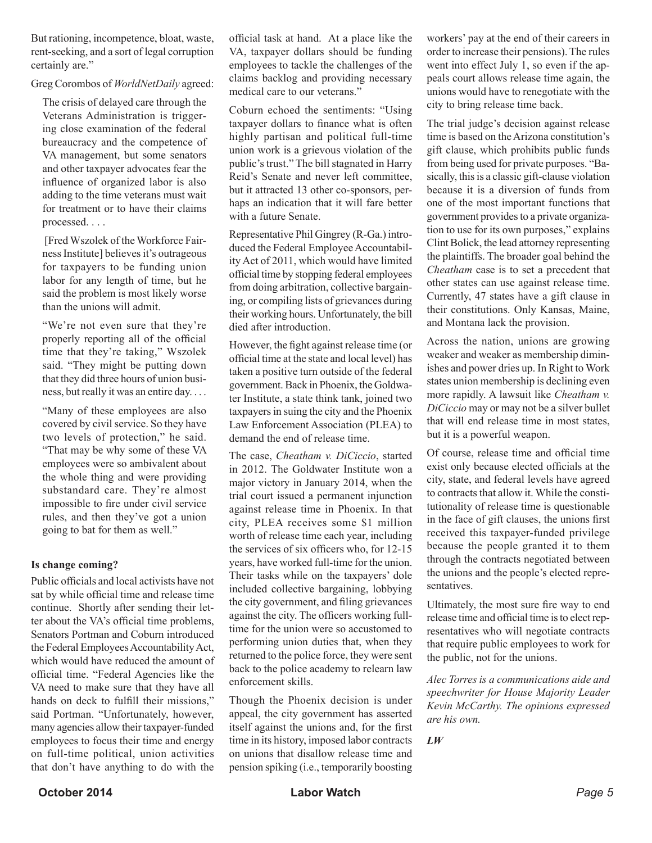But rationing, incompetence, bloat, waste, rent-seeking, and a sort of legal corruption certainly are."

#### Greg Corombos of *WorldNetDaily* agreed:

The crisis of delayed care through the Veterans Administration is triggering close examination of the federal bureaucracy and the competence of VA management, but some senators and other taxpayer advocates fear the influence of organized labor is also adding to the time veterans must wait for treatment or to have their claims processed. . . .

 [Fred Wszolek of the Workforce Fairness Institute] believes it's outrageous for taxpayers to be funding union labor for any length of time, but he said the problem is most likely worse than the unions will admit.

"We're not even sure that they're properly reporting all of the official time that they're taking," Wszolek said. "They might be putting down that they did three hours of union business, but really it was an entire day. . . .

"Many of these employees are also covered by civil service. So they have two levels of protection," he said. "That may be why some of these VA employees were so ambivalent about the whole thing and were providing substandard care. They're almost impossible to fire under civil service rules, and then they've got a union going to bat for them as well."

#### **Is change coming?**

Public officials and local activists have not sat by while official time and release time continue. Shortly after sending their letter about the VA's official time problems, Senators Portman and Coburn introduced the Federal Employees Accountability Act, which would have reduced the amount of official time. "Federal Agencies like the VA need to make sure that they have all hands on deck to fulfill their missions," said Portman. "Unfortunately, however, many agencies allow their taxpayer-funded employees to focus their time and energy on full-time political, union activities that don't have anything to do with the

official task at hand. At a place like the VA, taxpayer dollars should be funding employees to tackle the challenges of the claims backlog and providing necessary medical care to our veterans."

Coburn echoed the sentiments: "Using taxpayer dollars to finance what is often highly partisan and political full-time union work is a grievous violation of the public's trust." The bill stagnated in Harry Reid's Senate and never left committee, but it attracted 13 other co-sponsors, perhaps an indication that it will fare better with a future Senate.

Representative Phil Gingrey (R-Ga.) introduced the Federal Employee Accountability Act of 2011, which would have limited official time by stopping federal employees from doing arbitration, collective bargaining, or compiling lists of grievances during their working hours. Unfortunately, the bill died after introduction.

However, the fight against release time (or official time at the state and local level) has taken a positive turn outside of the federal government. Back in Phoenix, the Goldwater Institute, a state think tank, joined two taxpayers in suing the city and the Phoenix Law Enforcement Association (PLEA) to demand the end of release time.

The case, *Cheatham v. DiCiccio*, started in 2012. The Goldwater Institute won a major victory in January 2014, when the trial court issued a permanent injunction against release time in Phoenix. In that city, PLEA receives some \$1 million worth of release time each year, including the services of six officers who, for 12-15 years, have worked full-time for the union. Their tasks while on the taxpayers' dole included collective bargaining, lobbying the city government, and filing grievances against the city. The officers working fulltime for the union were so accustomed to performing union duties that, when they returned to the police force, they were sent back to the police academy to relearn law enforcement skills.

Though the Phoenix decision is under appeal, the city government has asserted itself against the unions and, for the first time in its history, imposed labor contracts on unions that disallow release time and pension spiking (i.e., temporarily boosting

workers' pay at the end of their careers in order to increase their pensions). The rules went into effect July 1, so even if the appeals court allows release time again, the unions would have to renegotiate with the city to bring release time back.

The trial judge's decision against release time is based on the Arizona constitution's gift clause, which prohibits public funds from being used for private purposes. "Basically, this is a classic gift-clause violation because it is a diversion of funds from one of the most important functions that government provides to a private organization to use for its own purposes," explains Clint Bolick, the lead attorney representing the plaintiffs. The broader goal behind the *Cheatham* case is to set a precedent that other states can use against release time. Currently, 47 states have a gift clause in their constitutions. Only Kansas, Maine, and Montana lack the provision.

Across the nation, unions are growing weaker and weaker as membership diminishes and power dries up. In Right to Work states union membership is declining even more rapidly. A lawsuit like *Cheatham v. DiCiccio* may or may not be a silver bullet that will end release time in most states, but it is a powerful weapon.

Of course, release time and official time exist only because elected officials at the city, state, and federal levels have agreed to contracts that allow it. While the constitutionality of release time is questionable in the face of gift clauses, the unions first received this taxpayer-funded privilege because the people granted it to them through the contracts negotiated between the unions and the people's elected representatives.

Ultimately, the most sure fire way to end release time and official time is to elect representatives who will negotiate contracts that require public employees to work for the public, not for the unions.

*Alec Torres is a communications aide and speechwriter for House Majority Leader Kevin McCarthy. The opinions expressed are his own.* 

*LW*